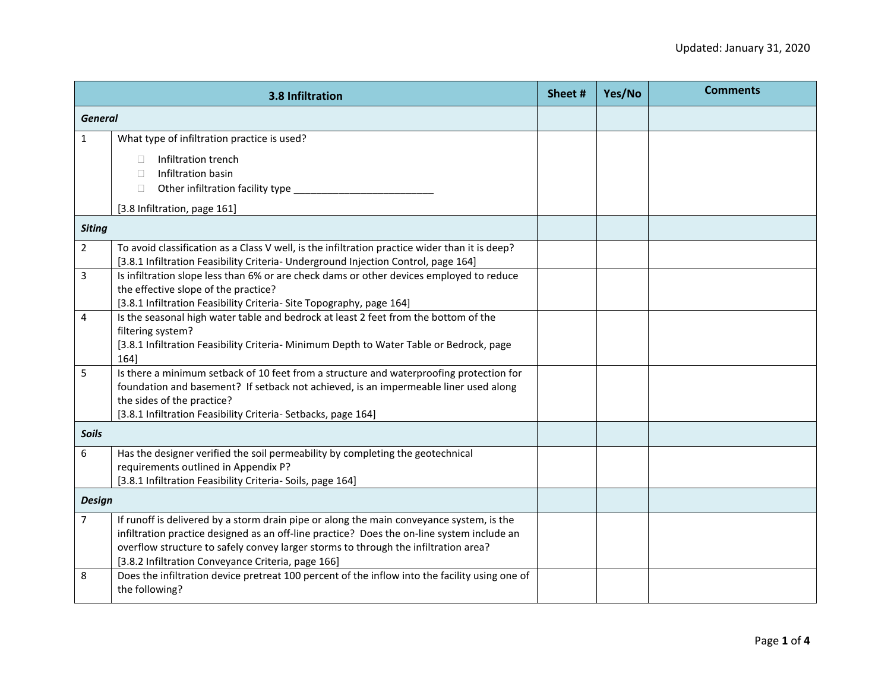| 3.8 Infiltration |                                                                                                                                                                                                                                                                                                                                     | Sheet # | Yes/No | <b>Comments</b> |
|------------------|-------------------------------------------------------------------------------------------------------------------------------------------------------------------------------------------------------------------------------------------------------------------------------------------------------------------------------------|---------|--------|-----------------|
| <b>General</b>   |                                                                                                                                                                                                                                                                                                                                     |         |        |                 |
| $\mathbf{1}$     | What type of infiltration practice is used?                                                                                                                                                                                                                                                                                         |         |        |                 |
|                  | Infiltration trench<br>Infiltration basin<br>П<br>Other infiltration facility type<br>$\Box$                                                                                                                                                                                                                                        |         |        |                 |
|                  | [3.8 Infiltration, page 161]                                                                                                                                                                                                                                                                                                        |         |        |                 |
| <b>Siting</b>    |                                                                                                                                                                                                                                                                                                                                     |         |        |                 |
| $\overline{2}$   | To avoid classification as a Class V well, is the infiltration practice wider than it is deep?<br>[3.8.1 Infiltration Feasibility Criteria- Underground Injection Control, page 164]                                                                                                                                                |         |        |                 |
| 3                | Is infiltration slope less than 6% or are check dams or other devices employed to reduce<br>the effective slope of the practice?<br>[3.8.1 Infiltration Feasibility Criteria- Site Topography, page 164]                                                                                                                            |         |        |                 |
| $\overline{4}$   | Is the seasonal high water table and bedrock at least 2 feet from the bottom of the<br>filtering system?<br>[3.8.1 Infiltration Feasibility Criteria- Minimum Depth to Water Table or Bedrock, page<br>164]                                                                                                                         |         |        |                 |
| 5                | Is there a minimum setback of 10 feet from a structure and waterproofing protection for<br>foundation and basement? If setback not achieved, is an impermeable liner used along<br>the sides of the practice?<br>[3.8.1 Infiltration Feasibility Criteria- Setbacks, page 164]                                                      |         |        |                 |
| <b>Soils</b>     |                                                                                                                                                                                                                                                                                                                                     |         |        |                 |
| 6                | Has the designer verified the soil permeability by completing the geotechnical<br>requirements outlined in Appendix P?<br>[3.8.1 Infiltration Feasibility Criteria- Soils, page 164]                                                                                                                                                |         |        |                 |
| <b>Design</b>    |                                                                                                                                                                                                                                                                                                                                     |         |        |                 |
| $\overline{7}$   | If runoff is delivered by a storm drain pipe or along the main conveyance system, is the<br>infiltration practice designed as an off-line practice? Does the on-line system include an<br>overflow structure to safely convey larger storms to through the infiltration area?<br>[3.8.2 Infiltration Conveyance Criteria, page 166] |         |        |                 |
| 8                | Does the infiltration device pretreat 100 percent of the inflow into the facility using one of<br>the following?                                                                                                                                                                                                                    |         |        |                 |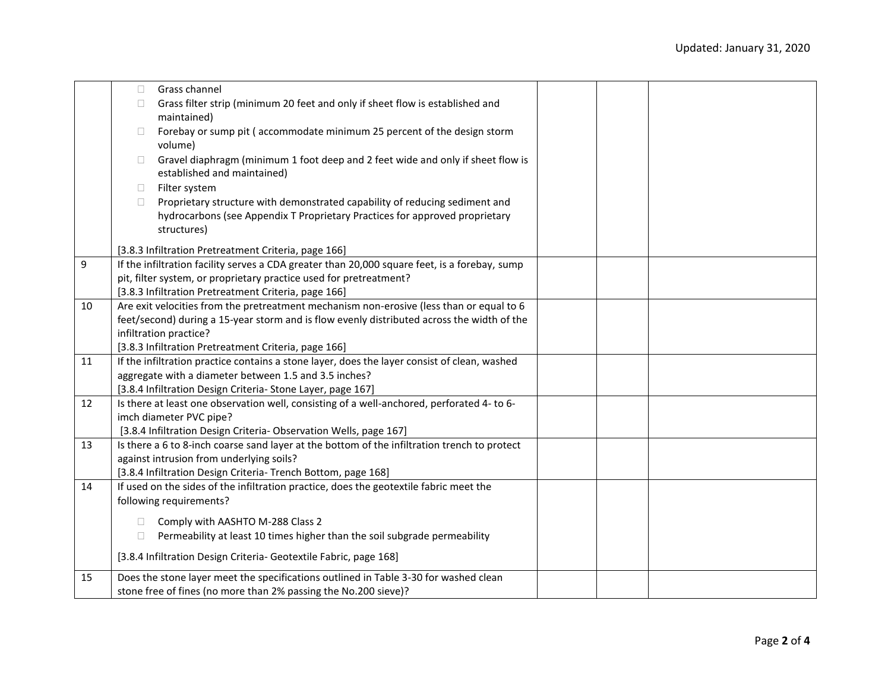|    | Grass channel<br>П                                                                                                                                                   |  |  |
|----|----------------------------------------------------------------------------------------------------------------------------------------------------------------------|--|--|
|    | Grass filter strip (minimum 20 feet and only if sheet flow is established and<br>П.                                                                                  |  |  |
|    | maintained)                                                                                                                                                          |  |  |
|    | Forebay or sump pit (accommodate minimum 25 percent of the design storm<br>П.                                                                                        |  |  |
|    | volume)                                                                                                                                                              |  |  |
|    | Gravel diaphragm (minimum 1 foot deep and 2 feet wide and only if sheet flow is<br>$\Box$                                                                            |  |  |
|    | established and maintained)                                                                                                                                          |  |  |
|    | Filter system<br>$\Box$                                                                                                                                              |  |  |
|    | Proprietary structure with demonstrated capability of reducing sediment and<br>$\Box$<br>hydrocarbons (see Appendix T Proprietary Practices for approved proprietary |  |  |
|    | structures)                                                                                                                                                          |  |  |
|    |                                                                                                                                                                      |  |  |
|    | [3.8.3 Infiltration Pretreatment Criteria, page 166]                                                                                                                 |  |  |
| 9  | If the infiltration facility serves a CDA greater than 20,000 square feet, is a forebay, sump                                                                        |  |  |
|    | pit, filter system, or proprietary practice used for pretreatment?                                                                                                   |  |  |
|    | [3.8.3 Infiltration Pretreatment Criteria, page 166]                                                                                                                 |  |  |
| 10 | Are exit velocities from the pretreatment mechanism non-erosive (less than or equal to 6                                                                             |  |  |
|    | feet/second) during a 15-year storm and is flow evenly distributed across the width of the<br>infiltration practice?                                                 |  |  |
|    | [3.8.3 Infiltration Pretreatment Criteria, page 166]                                                                                                                 |  |  |
| 11 | If the infiltration practice contains a stone layer, does the layer consist of clean, washed                                                                         |  |  |
|    | aggregate with a diameter between 1.5 and 3.5 inches?                                                                                                                |  |  |
|    | [3.8.4 Infiltration Design Criteria- Stone Layer, page 167]                                                                                                          |  |  |
| 12 | Is there at least one observation well, consisting of a well-anchored, perforated 4-to 6-                                                                            |  |  |
|    | imch diameter PVC pipe?                                                                                                                                              |  |  |
|    | [3.8.4 Infiltration Design Criteria- Observation Wells, page 167]                                                                                                    |  |  |
| 13 | Is there a 6 to 8-inch coarse sand layer at the bottom of the infiltration trench to protect                                                                         |  |  |
|    | against intrusion from underlying soils?                                                                                                                             |  |  |
|    | [3.8.4 Infiltration Design Criteria- Trench Bottom, page 168]                                                                                                        |  |  |
| 14 | If used on the sides of the infiltration practice, does the geotextile fabric meet the                                                                               |  |  |
|    | following requirements?                                                                                                                                              |  |  |
|    | Comply with AASHTO M-288 Class 2<br>П.                                                                                                                               |  |  |
|    | Permeability at least 10 times higher than the soil subgrade permeability<br>$\Box$                                                                                  |  |  |
|    | [3.8.4 Infiltration Design Criteria- Geotextile Fabric, page 168]                                                                                                    |  |  |
|    |                                                                                                                                                                      |  |  |
| 15 | Does the stone layer meet the specifications outlined in Table 3-30 for washed clean                                                                                 |  |  |
|    | stone free of fines (no more than 2% passing the No.200 sieve)?                                                                                                      |  |  |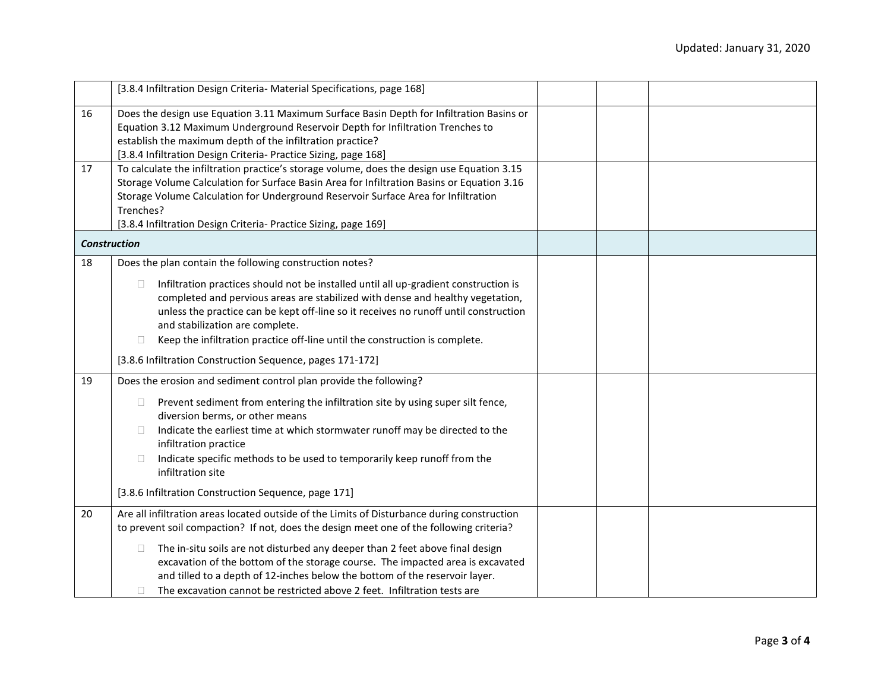|                     | [3.8.4 Infiltration Design Criteria- Material Specifications, page 168]                                                                                                                |  |  |
|---------------------|----------------------------------------------------------------------------------------------------------------------------------------------------------------------------------------|--|--|
| 16                  | Does the design use Equation 3.11 Maximum Surface Basin Depth for Infiltration Basins or                                                                                               |  |  |
|                     | Equation 3.12 Maximum Underground Reservoir Depth for Infiltration Trenches to                                                                                                         |  |  |
|                     | establish the maximum depth of the infiltration practice?                                                                                                                              |  |  |
| 17                  | [3.8.4 Infiltration Design Criteria- Practice Sizing, page 168]<br>To calculate the infiltration practice's storage volume, does the design use Equation 3.15                          |  |  |
|                     | Storage Volume Calculation for Surface Basin Area for Infiltration Basins or Equation 3.16                                                                                             |  |  |
|                     | Storage Volume Calculation for Underground Reservoir Surface Area for Infiltration                                                                                                     |  |  |
|                     | Trenches?                                                                                                                                                                              |  |  |
|                     | [3.8.4 Infiltration Design Criteria- Practice Sizing, page 169]                                                                                                                        |  |  |
| <b>Construction</b> |                                                                                                                                                                                        |  |  |
| 18                  | Does the plan contain the following construction notes?                                                                                                                                |  |  |
|                     | Infiltration practices should not be installed until all up-gradient construction is<br>$\Box$                                                                                         |  |  |
|                     | completed and pervious areas are stabilized with dense and healthy vegetation,                                                                                                         |  |  |
|                     | unless the practice can be kept off-line so it receives no runoff until construction                                                                                                   |  |  |
|                     | and stabilization are complete.                                                                                                                                                        |  |  |
|                     | Keep the infiltration practice off-line until the construction is complete.<br>П                                                                                                       |  |  |
|                     | [3.8.6 Infiltration Construction Sequence, pages 171-172]                                                                                                                              |  |  |
| 19                  | Does the erosion and sediment control plan provide the following?                                                                                                                      |  |  |
|                     | Prevent sediment from entering the infiltration site by using super silt fence,<br>$\Box$                                                                                              |  |  |
|                     | diversion berms, or other means                                                                                                                                                        |  |  |
|                     | Indicate the earliest time at which stormwater runoff may be directed to the<br>П.                                                                                                     |  |  |
|                     | infiltration practice                                                                                                                                                                  |  |  |
|                     | Indicate specific methods to be used to temporarily keep runoff from the<br>$\Box$<br>infiltration site                                                                                |  |  |
|                     | [3.8.6 Infiltration Construction Sequence, page 171]                                                                                                                                   |  |  |
| 20                  | Are all infiltration areas located outside of the Limits of Disturbance during construction<br>to prevent soil compaction? If not, does the design meet one of the following criteria? |  |  |
|                     |                                                                                                                                                                                        |  |  |
|                     | The in-situ soils are not disturbed any deeper than 2 feet above final design<br>⊔                                                                                                     |  |  |
|                     | excavation of the bottom of the storage course. The impacted area is excavated                                                                                                         |  |  |
|                     | and tilled to a depth of 12-inches below the bottom of the reservoir layer.                                                                                                            |  |  |
|                     | The excavation cannot be restricted above 2 feet. Infiltration tests are                                                                                                               |  |  |